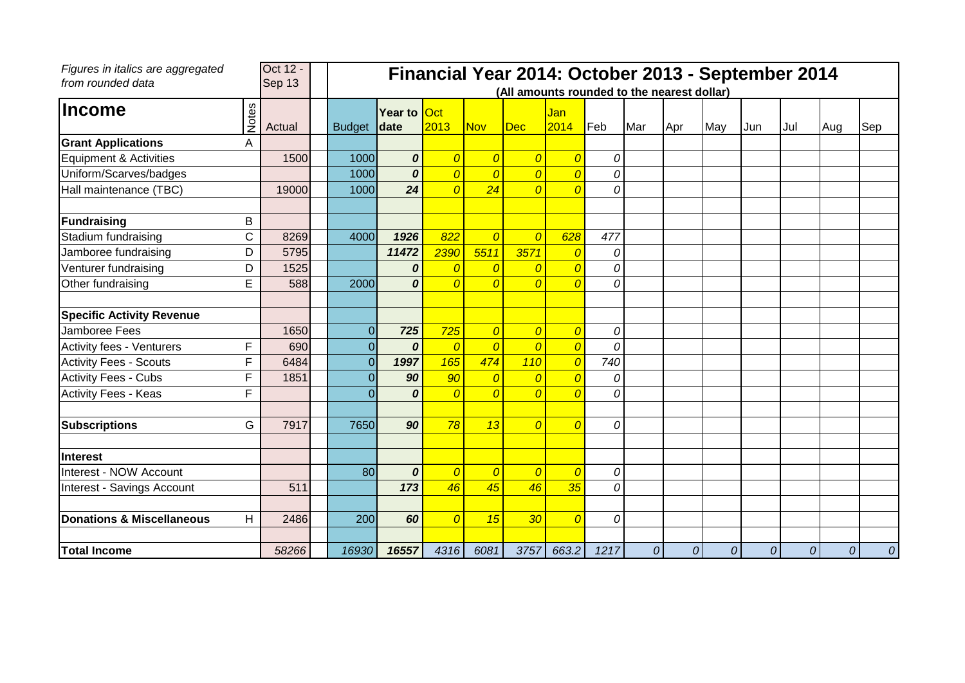| Figures in italics are aggregated<br>from rounded data |              | Oct 12 -<br>Sep 13 |                |                     |                |                | Financial Year 2014: October 2013 - September 2014<br>(All amounts rounded to the nearest dollar) |                |                |              |               |     |     |      |     |     |
|--------------------------------------------------------|--------------|--------------------|----------------|---------------------|----------------|----------------|---------------------------------------------------------------------------------------------------|----------------|----------------|--------------|---------------|-----|-----|------|-----|-----|
| <b>Income</b>                                          | <b>Notes</b> | Actual             | <b>Budget</b>  | Year to Oct<br>date | 2013           | <b>Nov</b>     | Dec                                                                                               | Jan<br>2014    | Feb            | Mar          | Apr           | May | Jun | lJul | Aug | Sep |
| <b>Grant Applications</b>                              | A            |                    |                |                     |                |                |                                                                                                   |                |                |              |               |     |     |      |     |     |
| Equipment & Activities                                 |              | 1500               | 1000           | 0                   | $\overline{0}$ | $\overline{0}$ | $\overline{0}$                                                                                    | $\overline{0}$ | 0              |              |               |     |     |      |     |     |
| Uniform/Scarves/badges                                 |              |                    | 1000           | 0                   | $\overline{O}$ | $\overline{0}$ | $\overline{0}$                                                                                    | $\overline{0}$ | 0              |              |               |     |     |      |     |     |
| Hall maintenance (TBC)                                 |              | 19000              | 1000           | 24                  | $\overline{0}$ | 24             | $\overline{0}$                                                                                    | $\overline{0}$ | $\Omega$       |              |               |     |     |      |     |     |
| <b>Fundraising</b>                                     | В            |                    |                |                     |                |                |                                                                                                   |                |                |              |               |     |     |      |     |     |
| Stadium fundraising                                    | C            | 8269               | 4000           | 1926                | 822            | $\overline{O}$ | $\overline{0}$                                                                                    | 628            | 477            |              |               |     |     |      |     |     |
| Jamboree fundraising                                   | D            | 5795               |                | 11472               | 2390           | 5511           | 3571                                                                                              | $\overline{0}$ | 0              |              |               |     |     |      |     |     |
| Venturer fundraising                                   | D            | 1525               |                | 0                   | 0              | $\overline{0}$ | $\overline{0}$                                                                                    | $\overline{O}$ | 0              |              |               |     |     |      |     |     |
| Other fundraising                                      | E            | 588                | 2000           | $\Omega$            | $\overline{O}$ | $\overline{O}$ | $\overline{0}$                                                                                    | $\overline{0}$ | 0              |              |               |     |     |      |     |     |
| <b>Specific Activity Revenue</b>                       |              |                    |                |                     |                |                |                                                                                                   |                |                |              |               |     |     |      |     |     |
| Jamboree Fees                                          |              | 1650               | $\Omega$       | 725                 | 725            | $\overline{0}$ | $\overline{0}$                                                                                    | $\overline{0}$ | 0              |              |               |     |     |      |     |     |
| <b>Activity fees - Venturers</b>                       | F            | 690                | $\overline{0}$ | $\boldsymbol{0}$    | $\overline{0}$ | $\overline{0}$ | $\overline{0}$                                                                                    | $\overline{0}$ | 0              |              |               |     |     |      |     |     |
| <b>Activity Fees - Scouts</b>                          | F            | 6484               | $\Omega$       | 1997                | 165            | 474            | 110                                                                                               | $\overline{0}$ | 740            |              |               |     |     |      |     |     |
| <b>Activity Fees - Cubs</b>                            | F            | 1851               | $\Omega$       | 90                  | 90             | $\overline{0}$ | $\overline{0}$                                                                                    | $\overline{O}$ | $\mathcal{O}$  |              |               |     |     |      |     |     |
| <b>Activity Fees - Keas</b>                            | F            |                    | $\Omega$       | $\boldsymbol{0}$    | $\overline{0}$ | $\overline{0}$ | $\overline{0}$                                                                                    | $\overline{0}$ | 0              |              |               |     |     |      |     |     |
| <b>Subscriptions</b>                                   | G            | 7917               | 7650           | 90                  | 78             | 13             | $\overline{0}$                                                                                    | $\overline{0}$ | 0              |              |               |     |     |      |     |     |
| <b>Interest</b>                                        |              |                    |                |                     |                |                |                                                                                                   |                |                |              |               |     |     |      |     |     |
| Interest - NOW Account                                 |              |                    | 80             | $\boldsymbol{0}$    | $\overline{0}$ | $\overline{0}$ | $\overline{0}$                                                                                    | $\overline{0}$ | $\overline{0}$ |              |               |     |     |      |     |     |
| Interest - Savings Account                             |              | 511                |                | 173                 | 46             | 45             | 46                                                                                                | 35             | 0              |              |               |     |     |      |     |     |
| Donations & Miscellaneous                              | H.           | 2486               | 200            | 60                  | $\overline{0}$ | 15             | 30                                                                                                | $\overline{0}$ | 0              |              |               |     |     |      |     |     |
| <b>Total Income</b>                                    |              | 58266              | 16930          | 16557               | 4316           | 6081           | 3757                                                                                              | 663.2          | 1217           | $\mathcal O$ | $\mathcal{O}$ | 0   | 0   | 0    | 0   | 0   |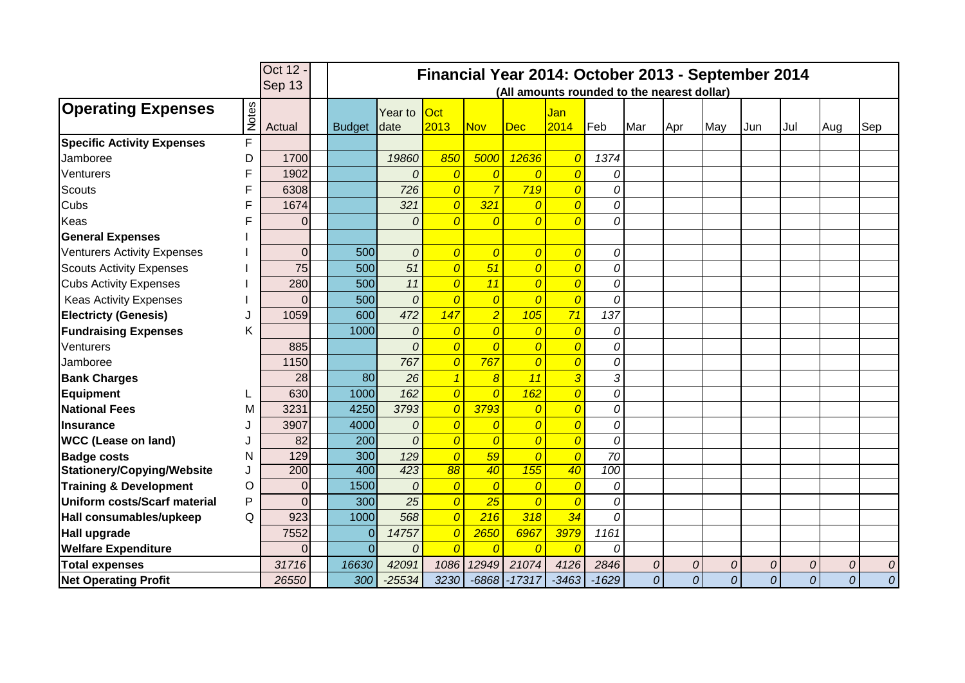|                                    |       | Oct 12 -         | Financial Year 2014: October 2013 - September 2014 |               |                                             |                 |                 |                  |                 |         |                |                |     |                |                |     |                |
|------------------------------------|-------|------------------|----------------------------------------------------|---------------|---------------------------------------------|-----------------|-----------------|------------------|-----------------|---------|----------------|----------------|-----|----------------|----------------|-----|----------------|
|                                    |       | Sep 13           |                                                    |               | (All amounts rounded to the nearest dollar) |                 |                 |                  |                 |         |                |                |     |                |                |     |                |
| <b>Operating Expenses</b>          |       |                  |                                                    |               | Year to                                     | Oct             |                 |                  | Jan             |         |                |                |     |                |                |     |                |
|                                    | Notes | Actual           |                                                    | <b>Budget</b> | date                                        | 2013            | <b>Nov</b>      | <b>Dec</b>       | 2014            | Feb     | Mar            | Apr            | May | Jun            | Jul            | Aug | Sep            |
| <b>Specific Activity Expenses</b>  | F     |                  |                                                    |               |                                             |                 |                 |                  |                 |         |                |                |     |                |                |     |                |
| Jamboree                           | D     | 1700             |                                                    |               | 19860                                       | 850             | 5000            | 12636            | 0               | 1374    |                |                |     |                |                |     |                |
| Venturers                          | F     | 1902             |                                                    |               | 0                                           | $\overline{0}$  | $\overline{0}$  | $\overline{0}$   | 0               | 0       |                |                |     |                |                |     |                |
| <b>Scouts</b>                      | F     | 6308             |                                                    |               | 726                                         | $\overline{0}$  | $\overline{7}$  | 719              | $\overline{0}$  | 0       |                |                |     |                |                |     |                |
| Cubs                               | F     | 1674             |                                                    |               | 321                                         | $\overline{0}$  | 321             | $\overline{0}$   | $\overline{0}$  | 0       |                |                |     |                |                |     |                |
| Keas                               |       | $\overline{0}$   |                                                    |               | $\Omega$                                    | $\overline{0}$  | $\overline{0}$  | $\overline{0}$   | $\overline{0}$  | 0       |                |                |     |                |                |     |                |
| <b>General Expenses</b>            |       |                  |                                                    |               |                                             |                 |                 |                  |                 |         |                |                |     |                |                |     |                |
| <b>Venturers Activity Expenses</b> |       | 0                |                                                    | 500           | 0                                           | $\overline{0}$  | $\overline{0}$  | $\overline{0}$   | $\overline{0}$  | 0       |                |                |     |                |                |     |                |
| <b>Scouts Activity Expenses</b>    |       | 75               |                                                    | 500           | 51                                          | $\overline{0}$  | 51              | $\overline{0}$   | $\overline{0}$  | 0       |                |                |     |                |                |     |                |
| <b>Cubs Activity Expenses</b>      |       | 280              |                                                    | 500           | 11                                          | $\overline{0}$  | 11              | $\overline{0}$   | $\overline{0}$  | 0       |                |                |     |                |                |     |                |
| <b>Keas Activity Expenses</b>      |       | 0                |                                                    | 500           | $\boldsymbol{0}$                            | $\overline{0}$  | $\overline{0}$  | $\overline{0}$   | $\overline{0}$  | 0       |                |                |     |                |                |     |                |
| <b>Electricty (Genesis)</b>        |       | 1059             |                                                    | 600           | 472                                         | 147             | $\overline{2}$  | 105              | 71              | 137     |                |                |     |                |                |     |                |
| <b>Fundraising Expenses</b>        | Κ     |                  |                                                    | 1000          | 0                                           | $\overline{0}$  | $\overline{0}$  | $\overline{0}$   | $\overline{0}$  | 0       |                |                |     |                |                |     |                |
| Venturers                          |       | 885              |                                                    |               | $\Omega$                                    | $\overline{0}$  | $\overline{0}$  | $\overline{0}$   | $\overline{0}$  | 0       |                |                |     |                |                |     |                |
| Jamboree                           |       | 1150             |                                                    |               | 767                                         | $\overline{0}$  | 767             | $\overline{0}$   | $\overline{0}$  | 0       |                |                |     |                |                |     |                |
| <b>Bank Charges</b>                |       | 28               |                                                    | 80            | 26                                          | $\overline{1}$  | $\overline{8}$  | $\overline{11}$  | $\overline{3}$  | 3       |                |                |     |                |                |     |                |
| <b>Equipment</b>                   |       | 630              |                                                    | 1000          | 162                                         | $\overline{0}$  | $\Omega$        | 162              | $\overline{0}$  | 0       |                |                |     |                |                |     |                |
| <b>National Fees</b>               | M     | 3231             |                                                    | 4250          | 3793                                        | $\overline{O}$  | 3793            | $\overline{0}$   | $\overline{O}$  | 0       |                |                |     |                |                |     |                |
| <b>Insurance</b>                   |       | 3907             |                                                    | 4000          | $\Omega$                                    | $\overline{O}$  | $\overline{0}$  | $\overline{0}$   | $\overline{0}$  | 0       |                |                |     |                |                |     |                |
| <b>WCC (Lease on land)</b>         |       | 82               |                                                    | 200           | 0                                           | $\overline{0}$  | $\overline{0}$  | $\overline{0}$   | $\overline{O}$  | 0       |                |                |     |                |                |     |                |
| <b>Badge costs</b>                 | N     | 129              |                                                    | 300           | 129                                         | $\overline{0}$  | 59              | $\overline{0}$   | $\overline{0}$  | 70      |                |                |     |                |                |     |                |
| <b>Stationery/Copying/Website</b>  |       | $\overline{200}$ |                                                    | 400           | 423                                         | $\overline{88}$ | $\overline{40}$ | $\overline{155}$ | $\overline{40}$ | 100     |                |                |     |                |                |     |                |
| <b>Training &amp; Development</b>  | Ο     | 0                |                                                    | 1500          | $\theta$                                    | $\overline{0}$  | $\overline{0}$  | $\overline{0}$   | $\overline{0}$  | 0       |                |                |     |                |                |     |                |
| Uniform costs/Scarf material       | P     | $\overline{0}$   |                                                    | 300           | 25                                          | $\overline{0}$  | 25              | $\overline{0}$   | $\epsilon$      | 0       |                |                |     |                |                |     |                |
| Hall consumables/upkeep            | Q     | 923              |                                                    | 1000          | 568                                         | $\overline{0}$  | 216             | 318              | 34              | 0       |                |                |     |                |                |     |                |
| <b>Hall upgrade</b>                |       | 7552             |                                                    | $\Omega$      | 14757                                       | $\overline{0}$  | 2650            | 6967             | 3979            | 1161    |                |                |     |                |                |     |                |
| <b>Welfare Expenditure</b>         |       | 0                |                                                    | $\Omega$      | 0                                           | $\overline{0}$  | $\Omega$        | $\overline{0}$   |                 | 0       |                |                |     |                |                |     |                |
| <b>Total expenses</b>              |       | 31716            |                                                    | 16630         | 42091                                       | 1086            | 12949           | 21074            | 4126            | 2846    | $\overline{O}$ | $\mathcal O$   | 0   | 0              | 0              | 0   | 0              |
| <b>Net Operating Profit</b>        |       | 26550            |                                                    | 300           | $-25534$                                    | 3230            | $-6868$         | $-17317$         | $-3463$         | $-1629$ | 0              | $\overline{0}$ | 0   | $\overline{O}$ | $\overline{O}$ | 0   | $\overline{O}$ |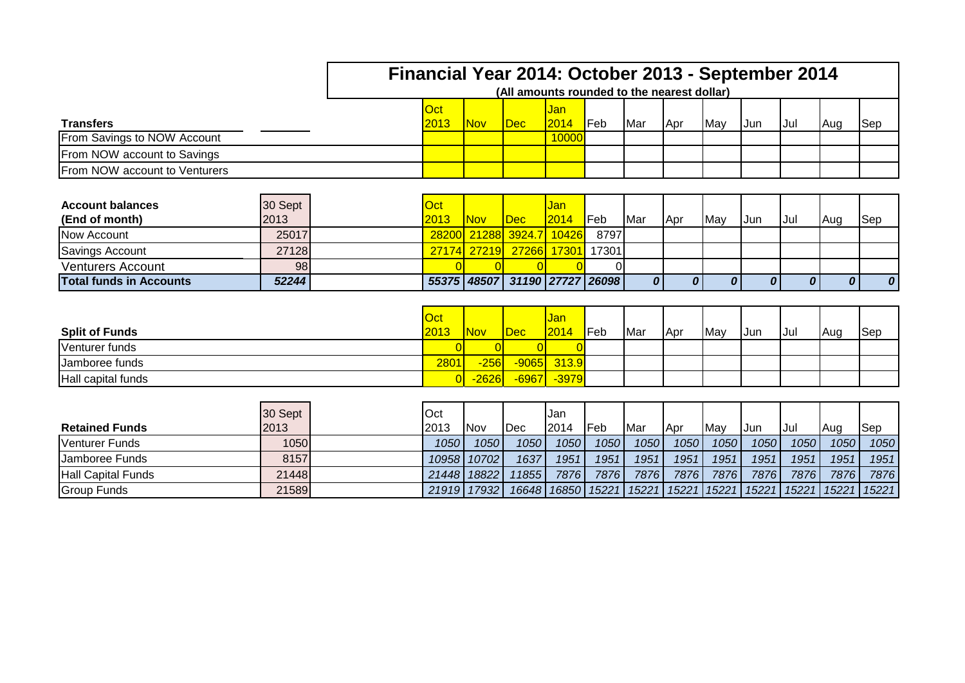|                                |         | Financial Year 2014: October 2013 - September 2014 |                               |      |             |              |     |     |     |       |      |     |     |
|--------------------------------|---------|----------------------------------------------------|-------------------------------|------|-------------|--------------|-----|-----|-----|-------|------|-----|-----|
|                                |         | (All amounts rounded to the nearest dollar)        |                               |      |             |              |     |     |     |       |      |     |     |
|                                |         | Oct                                                |                               |      | Jan         |              |     |     |     |       |      |     |     |
| <b>Transfers</b>               |         | 2013                                               | Nov.                          | Dec: | 2014        | <b>I</b> Feb | Mar | Apr | May | IJun. | IJul | Aug | Sep |
| From Savings to NOW Account    |         |                                                    |                               |      | 10000       |              |     |     |     |       |      |     |     |
| From NOW account to Savings    |         |                                                    |                               |      |             |              |     |     |     |       |      |     |     |
| From NOW account to Venturers  |         |                                                    |                               |      |             |              |     |     |     |       |      |     |     |
|                                |         |                                                    |                               |      |             |              |     |     |     |       |      |     |     |
| <b>Account balances</b>        | 30 Sept | Oct                                                |                               |      | Jan         |              |     |     |     |       |      |     |     |
| (End of month)                 | 2013    | 2013                                               | Nov.                          | Dec: | 2014        | <b>I</b> Feb | Mar | Apr | May | IJun. | IJul | Aug | Sep |
| Now Account                    | 25017   |                                                    | 28200 21288 3924.7 10426      |      |             | 8797         |     |     |     |       |      |     |     |
| Savings Account                | 27128   |                                                    | 27174 27219                   |      | 27266 17301 | 17301        |     |     |     |       |      |     |     |
| <b>Venturers Account</b>       | 98      |                                                    |                               |      |             |              |     |     |     |       |      |     |     |
| <b>Total funds in Accounts</b> | 52244   |                                                    | 55375 48507 31190 27727 26098 |      |             |              | 0   |     |     |       |      |     | 0   |

| <b>Split of Funds</b> | <u>Oct</u><br>2013 | <b>Nov</b> | Dec | <mark>Jan</mark><br> 2014 | Feb | Mar | Apr | May | IJun | Jul | Aug | <b>Sep</b> |
|-----------------------|--------------------|------------|-----|---------------------------|-----|-----|-----|-----|------|-----|-----|------------|
| Venturer funds        |                    |            |     |                           |     |     |     |     |      |     |     |            |
| IJamboree funds       | 2801               | $-256$     |     | $-9065$ 313.9             |     |     |     |     |      |     |     |            |
| Hall capital funds    |                    | $-2626$    |     | <mark>-6967 -3979</mark>  |     |     |     |     |      |     |     |            |

**Total funds in Accounts** *52244 55375 48507 31190 27727 26098 0 0 0 0 0 0 0*

| <b>Retained Funds</b>     | 30 Sept<br>2013 | Oct<br>2013 | INov        | <b>Dec</b> | Jan<br>12014          | Feb  | Mar                           | <b>IApr</b> | May  | IJun | IJul | <b>Aug</b>            | <b>Sep</b> |
|---------------------------|-----------------|-------------|-------------|------------|-----------------------|------|-------------------------------|-------------|------|------|------|-----------------------|------------|
| Venturer Funds            | 1050            | 1050        | 1050        | 1050       | 1050                  | 1050 | 1050                          | 1050        | 1050 | 1050 | 1050 | 1050                  | 1050       |
| <b>Jamboree Funds</b>     | 8157            |             | 10958 10702 | 1637       | 1951                  | 1951 | 1951                          | 1951        | 1951 | 1951 | 1951 | 1951                  | 1951       |
| <b>Hall Capital Funds</b> | 21448           | 21448       | 18822       | 118551     | 7876                  | 7876 | 7876                          | 7876        | 7876 | 7876 | 7876 | 7876                  | 7876       |
| <b>Group Funds</b>        | 21589           |             | 21919 17932 |            | 16648   16850   15221 |      | 15221   15221   15221   15221 |             |      |      |      | 15221   15221   15221 |            |